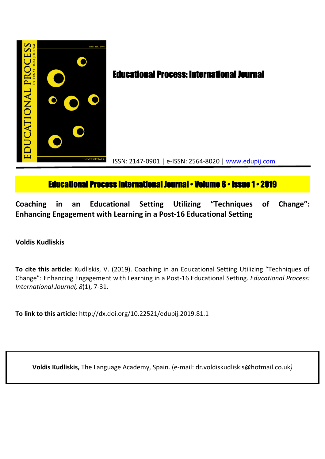

# **Educational Process International Journal • Volume 8 • Issue 1 • 2019**

**Coaching in an Educational Setting Utilizing "Techniques of Change": Enhancing Engagement with Learning in a Post-16 Educational Setting**

**Voldis Kudliskis**

**To cite this article:** Kudliskis, V. (2019). Coaching in an Educational Setting Utilizing "Techniques of Change": Enhancing Engagement with Learning in a Post-16 Educational Setting. *Educational Process: International Journal, 8*(1), 7-31.

**To link to this article:** http://dx.doi.org/10.22521/edupij.2019.81.1

**Voldis Kudliskis,** The Language Academy, Spain. (e-mail: dr.voldiskudliskis@hotmail.co.uk*)*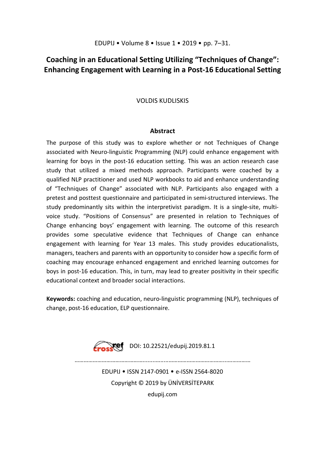# **Coaching in an Educational Setting Utilizing "Techniques of Change": Enhancing Engagement with Learning in a Post-16 Educational Setting**

VOLDIS KUDLISKIS

# **Abstract**

The purpose of this study was to explore whether or not Techniques of Change associated with Neuro-linguistic Programming (NLP) could enhance engagement with learning for boys in the post-16 education setting. This was an action research case study that utilized a mixed methods approach. Participants were coached by a qualified NLP practitioner and used NLP workbooks to aid and enhance understanding of "Techniques of Change" associated with NLP. Participants also engaged with a pretest and posttest questionnaire and participated in semi-structured interviews. The study predominantly sits within the interpretivist paradigm. It is a single-site, multivoice study. "Positions of Consensus" are presented in relation to Techniques of Change enhancing boys' engagement with learning. The outcome of this research provides some speculative evidence that Techniques of Change can enhance engagement with learning for Year 13 males. This study provides educationalists, managers, teachers and parents with an opportunity to consider how a specific form of coaching may encourage enhanced engagement and enriched learning outcomes for boys in post-16 education. This, in turn, may lead to greater positivity in their specific educational context and broader social interactions.

**Keywords:** coaching and education, neuro-linguistic programming (NLP), techniques of change, post-16 education, ELP questionnaire.



………………………………………........….....………………………………...…………… EDUPIJ • ISSN 2147-0901 • e-ISSN 2564-8020

Copyright © 2019 by ÜNİVERSİTEPARK

edupij.com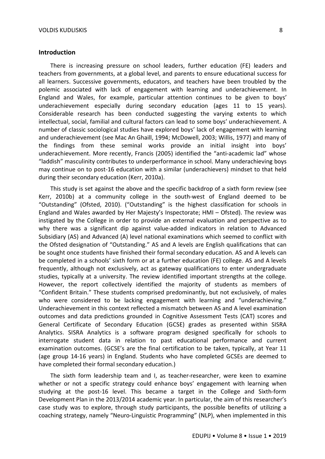## **Introduction**

There is increasing pressure on school leaders, further education (FE) leaders and teachers from governments, at a global level, and parents to ensure educational success for all learners. Successive governments, educators, and teachers have been troubled by the polemic associated with lack of engagement with learning and underachievement. In England and Wales, for example, particular attention continues to be given to boys' underachievement especially during secondary education (ages 11 to 15 years). Considerable research has been conducted suggesting the varying extents to which intellectual, social, familial and cultural factors can lead to some boys' underachievement. A number of classic sociological studies have explored boys' lack of engagement with learning and underachievement (see Mac An Ghaill, 1994; McDowell, 2003; Willis, 1977) and many of the findings from these seminal works provide an initial insight into boys' underachievement. More recently, Francis (2005) identified the "anti-academic lad" whose "laddish" masculinity contributes to underperformance in school. Many underachieving boys may continue on to post-16 education with a similar (underachievers) mindset to that held during their secondary education (Kerr, 2010a).

This study is set against the above and the specific backdrop of a sixth form review (see Kerr, 2010b) at a community college in the south-west of England deemed to be "Outstanding" (Ofsted, 2010). ("Outstanding" is the highest classification for schools in England and Wales awarded by Her Majesty's Inspectorate; HMI – Ofsted). The review was instigated by the College in order to provide an external evaluation and perspective as to why there was a significant dip against value-added indicators in relation to Advanced Subsidiary (AS) and Advanced (A) level national examinations which seemed to conflict with the Ofsted designation of "Outstanding." AS and A levels are English qualifications that can be sought once students have finished their formal secondary education. AS and A levels can be completed in a schools' sixth form or at a further education (FE) college. AS and A levels frequently, although not exclusively, act as gateway qualifications to enter undergraduate studies, typically at a university. The review identified important strengths at the college. However, the report collectively identified the majority of students as members of "Confident Britain." These students comprised predominantly, but not exclusively, of males who were considered to be lacking engagement with learning and "underachieving." Underachievement in this context reflected a mismatch between AS and A level examination outcomes and data predictions grounded in Cognitive Assessment Tests (CAT) scores and General Certificate of Secondary Education (GCSE) grades as presented within SISRA Analytics. SISRA Analytics is a software program designed specifically for schools to interrogate student data in relation to past educational performance and current examination outcomes. (GCSE's are the final certification to be taken, typically, at Year 11 (age group 14-16 years) in England. Students who have completed GCSEs are deemed to have completed their formal secondary education.)

The sixth form leadership team and I, as teacher-researcher, were keen to examine whether or not a specific strategy could enhance boys' engagement with learning when studying at the post-16 level. This became a target in the College and Sixth-form Development Plan in the 2013/2014 academic year. In particular, the aim of this researcher's case study was to explore, through study participants, the possible benefits of utilizing a coaching strategy, namely "Neuro-Linguistic Programming" (NLP), when implemented in this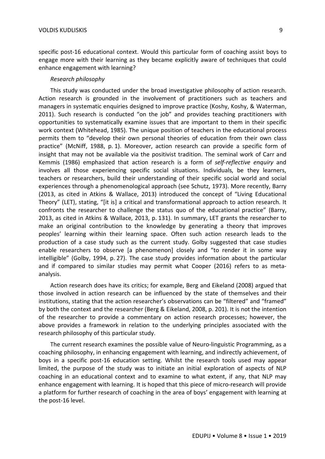specific post-16 educational context. Would this particular form of coaching assist boys to engage more with their learning as they became explicitly aware of techniques that could enhance engagement with learning?

#### *Research philosophy*

This study was conducted under the broad investigative philosophy of action research. Action research is grounded in the involvement of practitioners such as teachers and managers in systematic enquiries designed to improve practice (Koshy, Koshy, & Waterman, 2011). Such research is conducted "on the job" and provides teaching practitioners with opportunities to systematically examine issues that are important to them in their specific work context (Whitehead, 1985). The unique position of teachers in the educational process permits them to "develop their own personal theories of education from their own class practice" (McNiff, 1988, p. 1). Moreover, action research can provide a specific form of insight that may not be available via the positivist tradition. The seminal work of Carr and Kemmis (1986) emphasized that action research is a form of *self-reflective enquiry* and involves all those experiencing specific social situations. Individuals, be they learners, teachers or researchers, build their understanding of their specific social world and social experiences through a phenomenological approach (see Schutz, 1973). More recently, Barry (2013, as cited in Atkins & Wallace, 2013) introduced the concept of "Living Educational Theory" (LET), stating, "[it is] a critical and transformational approach to action research. It confronts the researcher to challenge the status quo of the educational practice" (Barry, 2013, as cited in Atkins & Wallace, 2013, p. 131). In summary, LET grants the researcher to make an original contribution to the knowledge by generating a theory that improves peoples' learning within their learning space. Often such action research leads to the production of a case study such as the current study. Golby suggested that case studies enable researchers to observe [a phenomenon] closely and "to render it in some way intelligible" (Golby, 1994, p. 27). The case study provides information about the particular and if compared to similar studies may permit what Cooper (2016) refers to as metaanalysis.

Action research does have its critics; for example, Berg and Eikeland (2008) argued that those involved in action research can be influenced by the state of themselves and their institutions, stating that the action researcher's observations can be "filtered" and "framed" by both the context and the researcher (Berg & Eikeland, 2008, p. 201). It is not the intention of the researcher to provide a commentary on action research processes; however, the above provides a framework in relation to the underlying principles associated with the research philosophy of this particular study.

The current research examines the possible value of Neuro-linguistic Programming, as a coaching philosophy, in enhancing engagement with learning, and indirectly achievement, of boys in a specific post-16 education setting. Whilst the research tools used may appear limited, the purpose of the study was to initiate an initial exploration of aspects of NLP coaching in an educational context and to examine to what extent, if any, that NLP may enhance engagement with learning. It is hoped that this piece of micro-research will provide a platform for further research of coaching in the area of boys' engagement with learning at the post-16 level.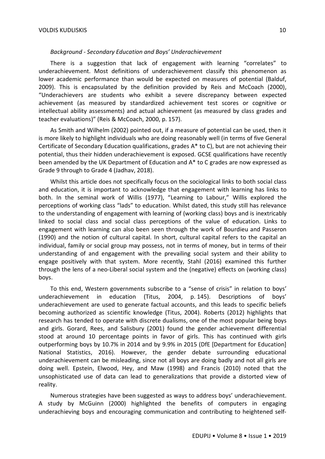## *Background - Secondary Education and Boys' Underachievement*

There is a suggestion that lack of engagement with learning "correlates" to underachievement. Most definitions of underachievement classify this phenomenon as lower academic performance than would be expected on measures of potential (Balduf, 2009). This is encapsulated by the definition provided by Reis and McCoach (2000), "Underachievers are students who exhibit a severe discrepancy between expected achievement (as measured by standardized achievement test scores or cognitive or intellectual ability assessments) and actual achievement (as measured by class grades and teacher evaluations)" (Reis & McCoach, 2000, p. 157).

As Smith and Wilhelm (2002) pointed out, if a measure of potential can be used, then it is more likely to highlight individuals who are doing reasonably well (in terms of five General Certificate of Secondary Education qualifications, grades A\* to C), but are not achieving their potential, thus their hidden underachievement is exposed. GCSE qualifications have recently been amended by the UK Department of Education and A\* to C grades are now expressed as Grade 9 through to Grade 4 (Jadhav, 2018).

Whilst this article does not specifically focus on the sociological links to both social class and education, it is important to acknowledge that engagement with learning has links to both. In the seminal work of Willis (1977), "Learning to Labour," Willis explored the perceptions of working class "lads" to education. Whilst dated, this study still has relevance to the understanding of engagement with learning of (working class) boys and is inextricably linked to social class and social class perceptions of the value of education. Links to engagement with learning can also been seen through the work of Bourdieu and Passeron (1990) and the notion of cultural capital. In short, cultural capital refers to the capital an individual, family or social group may possess, not in terms of money, but in terms of their understanding of and engagement with the prevailing social system and their ability to engage positively with that system. More recently, Stahl (2016) examined this further through the lens of a neo-Liberal social system and the (negative) effects on (working class) boys.

To this end, Western governments subscribe to a "sense of crisis" in relation to boys' underachievement in education (Titus, 2004, p. 145). Descriptions of boys' underachievement are used to generate factual accounts, and this leads to specific beliefs becoming authorized as scientific knowledge (Titus, 2004). Roberts (2012) highlights that research has tended to operate with discrete dualisms, one of the most popular being boys and girls. Gorard, Rees, and Salisbury (2001) found the gender achievement differential stood at around 10 percentage points in favor of girls. This has continued with girls outperforming boys by 10.7% in 2014 and by 9.9% in 2015 (DfE [Department for Education] National Statistics, 2016). However, the gender debate surrounding educational underachievement can be misleading, since not all boys are doing badly and not all girls are doing well. Epstein, Elwood, Hey, and Maw (1998) and Francis (2010) noted that the unsophisticated use of data can lead to generalizations that provide a distorted view of reality.

Numerous strategies have been suggested as ways to address boys' underachievement. A study by McGuinn (2000) highlighted the benefits of computers in engaging underachieving boys and encouraging communication and contributing to heightened self-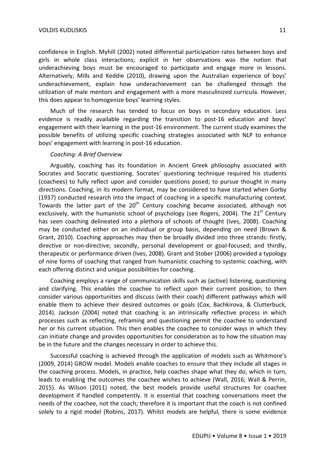confidence in English. Myhill (2002) noted differential participation rates between boys and girls in whole class interactions; explicit in her observations was the notion that underachieving boys must be encouraged to participate and engage more in lessons. Alternatively, Mills and Keddie (2010), drawing upon the Australian experience of boys' underachievement, explain how underachievement can be challenged through the utilization of male mentors and engagement with a more masculinized curricula. However, this does appear to homogenize boys' learning styles.

Much of the research has tended to focus on boys in secondary education. Less evidence is readily available regarding the transition to post-16 education and boys' engagement with their learning in the post-16 environment. The current study examines the possible benefits of utilizing specific coaching strategies associated with NLP to enhance boys' engagement with learning in post-16 education.

# *Coaching: A Brief Overview*

Arguably, coaching has its foundation in Ancient Greek philosophy associated with Socrates and Socratic questioning. Socrates' questioning technique required his students (coachees) to fully reflect upon and consider questions posed; to pursue thought in many directions. Coaching, in its modern format, may be considered to have started when Gorby (1937) conducted research into the impact of coaching in a specific manufacturing context. Towards the latter part of the  $20<sup>th</sup>$  Century coaching became associated, although not exclusively, with the humanistic school of psychology (see Rogers, 2004). The  $21<sup>st</sup>$  Century has seen coaching delineated into a plethora of schools of thought (Ives, 2008). Coaching may be conducted either on an individual or group basis, depending on need (Brown & Grant, 2010). Coaching approaches may then be broadly divided into three strands: firstly, directive or non-directive; secondly, personal development or goal-focused; and thirdly, therapeutic or performance driven (Ives, 2008). Grant and Stober (2006) provided a typology of nine forms of coaching that ranged from humanistic coaching to systemic coaching, with each offering distinct and unique possibilities for coaching.

Coaching employs a range of communication skills such as (active) listening, questioning and clarifying. This enables the coachee to reflect upon their current position; to then consider various opportunities and discuss (with their coach) different pathways which will enable them to achieve their desired outcomes or goals (Cox, Bachkirova, & Clutterbuck, 2014). Jackson (2004) noted that coaching is an intrinsically reflective process in which processes such as reflecting, reframing and questioning permit the coachee to understand her or his current situation. This then enables the coachee to consider ways in which they can initiate change and provides opportunities for consideration as to how the situation may be in the future and the changes necessary in order to achieve this.

Successful coaching is achieved through the application of models such as Whitmore's (2009, 2014) GROW model. Models enable coaches to ensure that they include all stages in the coaching process. Models, in practice, help coaches shape what they do, which in turn, leads to enabling the outcomes the coachee wishes to achieve (Wall, 2016; Wall & Perrin, 2015). As Wilson (2011) noted, the best models provide useful structures for coachee development if handled competently. It is essential that coaching conversations meet the needs of the coachee, not the coach; therefore it is important that the coach is not confined solely to a rigid model (Robins, 2017). Whilst models are helpful, there is some evidence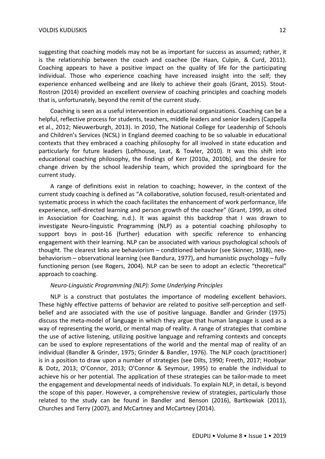suggesting that coaching models may not be as important for success as assumed; rather, it is the relationship between the coach and coachee (De Haan, Culpin, & Curd, 2011). Coaching appears to have a positive impact on the quality of life for the participating individual. Those who experience coaching have increased insight into the self; they experience enhanced wellbeing and are likely to achieve their goals (Grant, 2015). Stout-Rostron (2014) provided an excellent overview of coaching principles and coaching models that is, unfortunately, beyond the remit of the current study.

Coaching is seen as a useful intervention in educational organizations. Coaching can be a helpful, reflective process for students, teachers, middle leaders and senior leaders (Cappella et al., 2012; Nieuwerburgh, 2013). In 2010, The National College for Leadership of Schools and Children's Services (NCSL) in England deemed coaching to be so valuable in educational contexts that they embraced a coaching philosophy for all involved in state education and particularly for future leaders (Lofthouse, Leat, & Towler, 2010). It was this shift into educational coaching philosophy, the findings of Kerr (2010a, 2010b), and the desire for change driven by the school leadership team, which provided the springboard for the current study.

A range of definitions exist in relation to coaching; however, in the context of the current study coaching is defined as "A collaborative, solution focused, result-orientated and systematic process in which the coach facilitates the enhancement of work performance, life experience, self-directed learning and person growth of the coachee" (Grant, 1999, as cited in Association for Coaching, n.d.). It was against this backdrop that I was drawn to investigate Neuro-linguistic Programming (NLP) as a potential coaching philosophy to support boys in post-16 (further) education with specific reference to enhancing engagement with their learning. NLP can be associated with various psychological schools of thought. The clearest links are behaviorism – conditioned behavior (see Skinner, 1938), neobehaviorism – observational learning (see Bandura, 1977), and humanistic psychology – fully functioning person (see Rogers, 2004). NLP can be seen to adopt an eclectic "theoretical" approach to coaching.

#### *Neuro-Linguistic Programming (NLP): Some Underlying Principles*

NLP is a construct that postulates the importance of modeling excellent behaviors. These highly effective patterns of behavior are related to positive self-perception and selfbelief and are associated with the use of positive language. Bandler and Grinder (1975) discuss the meta-model of language in which they argue that human language is used as a way of representing the world, or mental map of reality. A range of strategies that combine the use of active listening, utilizing positive language and reframing contexts and concepts can be used to explore representations of the world and the mental map of reality of an individual (Bandler & Grinder, 1975; Grinder & Bandler, 1976). The NLP coach (practitioner) is in a position to draw upon a number of strategies (see Dilts, 1990; Freeth, 2017; Hoobyar & Dotz, 2013; O'Connor, 2013; O'Connor & Seymour, 1995) to enable the individual to achieve his or her potential. The application of these strategies can be tailor-made to meet the engagement and developmental needs of individuals. To explain NLP, in detail, is beyond the scope of this paper. However, a comprehensive review of strategies, particularly those related to the study can be found in Bandler and Benson (2016), Bartkowiak (2011), Churches and Terry (2007), and McCartney and McCartney (2014).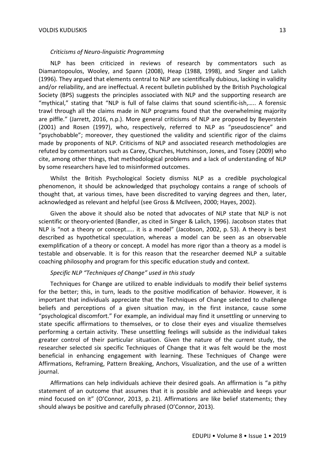#### *Criticisms of Neuro-linguistic Programming*

NLP has been criticized in reviews of research by commentators such as Diamantopoulos, Wooley, and Spann (2008), Heap (1988, 1998), and Singer and Lalich (1996). They argued that elements central to NLP are scientifically dubious, lacking in validity and/or reliability, and are ineffectual. A recent bulletin published by the British Psychological Society (BPS) suggests the principles associated with NLP and the supporting research are "mythical," stating that "NLP is full of false claims that sound scientific-ish,….. A forensic trawl through all the claims made in NLP programs found that the overwhelming majority are piffle." (Jarrett, 2016, n.p.). More general criticisms of NLP are proposed by Beyerstein (2001) and Rosen (1997), who, respectively, referred to NLP as "pseudoscience" and "psychobabble"; moreover, they questioned the validity and scientific rigor of the claims made by proponents of NLP. Criticisms of NLP and associated research methodologies are refuted by commentators such as Carey, Churches, Hutchinson, Jones, and Tosey (2009) who cite, among other things, that methodological problems and a lack of understanding of NLP by some researchers have led to misinformed outcomes.

Whilst the British Psychological Society dismiss NLP as a credible psychological phenomenon, it should be acknowledged that psychology contains a range of schools of thought that, at various times, have been discredited to varying degrees and then, later, acknowledged as relevant and helpful (see Gross & McIlveen, 2000; Hayes, 2002).

Given the above it should also be noted that advocates of NLP state that NLP is not scientific or theory-oriented (Bandler, as cited in Singer & Lalich, 1996). Jacobson states that NLP is "not a theory or concept….. it is a model" (Jacobson, 2002, p. 53). A theory is best described as hypothetical speculation, whereas a model can be seen as an observable exemplification of a theory or concept. A model has more rigor than a theory as a model is testable and observable. It is for this reason that the researcher deemed NLP a suitable coaching philosophy and program for this specific education study and context.

# *Specific NLP "Techniques of Change" used in this study*

Techniques for Change are utilized to enable individuals to modify their belief systems for the better; this, in turn, leads to the positive modification of behavior. However, it is important that individuals appreciate that the Techniques of Change selected to challenge beliefs and perceptions of a given situation may, in the first instance, cause some "psychological discomfort." For example, an individual may find it unsettling or unnerving to state specific affirmations to themselves, or to close their eyes and visualize themselves performing a certain activity. These unsettling feelings will subside as the individual takes greater control of their particular situation. Given the nature of the current study, the researcher selected six specific Techniques of Change that it was felt would be the most beneficial in enhancing engagement with learning. These Techniques of Change were Affirmations, Reframing, Pattern Breaking, Anchors, Visualization, and the use of a written journal.

Affirmations can help individuals achieve their desired goals. An affirmation is "a pithy statement of an outcome that assumes that it is possible and achievable and keeps your mind focused on it" (O'Connor, 2013, p. 21). Affirmations are like belief statements; they should always be positive and carefully phrased (O'Connor, 2013).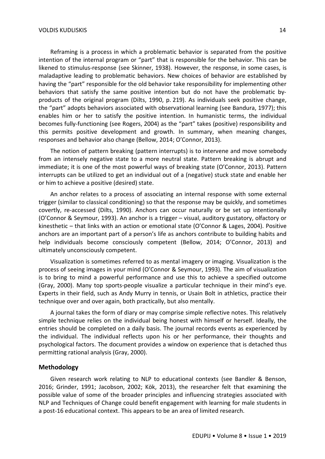Reframing is a process in which a problematic behavior is separated from the positive intention of the internal program or "part" that is responsible for the behavior. This can be likened to stimulus-response (see Skinner, 1938). However, the response, in some cases, is maladaptive leading to problematic behaviors. New choices of behavior are established by having the "part" responsible for the old behavior take responsibility for implementing other behaviors that satisfy the same positive intention but do not have the problematic byproducts of the original program (Dilts, 1990, p. 219). As individuals seek positive change, the "part" adopts behaviors associated with observational learning (see Bandura, 1977); this enables him or her to satisfy the positive intention. In humanistic terms, the individual becomes fully-functioning (see Rogers, 2004) as the "part" takes (positive) responsibility and this permits positive development and growth. In summary, when meaning changes, responses and behavior also change (Bellow, 2014; O'Connor, 2013).

The notion of pattern breaking (pattern interrupts) is to intervene and move somebody from an intensely negative state to a more neutral state. Pattern breaking is abrupt and immediate; it is one of the most powerful ways of breaking state (O'Connor, 2013). Pattern interrupts can be utilized to get an individual out of a (negative) stuck state and enable her or him to achieve a positive (desired) state.

An anchor relates to a process of associating an internal response with some external trigger (similar to classical conditioning) so that the response may be quickly, and sometimes covertly, re-accessed (Dilts, 1990). Anchors can occur naturally or be set up intentionally (O'Connor & Seymour, 1993). An anchor is a trigger – visual, auditory gustatory, olfactory or kinesthetic – that links with an action or emotional state (O'Connor & Lages, 2004). Positive anchors are an important part of a person's life as anchors contribute to building habits and help individuals become consciously competent (Bellow, 2014; O'Connor, 2013) and ultimately unconsciously competent.

Visualization is sometimes referred to as mental imagery or imaging. Visualization is the process of seeing images in your mind (O'Connor & Seymour, 1993). The aim of visualization is to bring to mind a powerful performance and use this to achieve a specified outcome (Gray, 2000). Many top sports-people visualize a particular technique in their mind's eye. Experts in their field, such as Andy Murry in tennis, or Usain Bolt in athletics, practice their technique over and over again, both practically, but also mentally.

A journal takes the form of diary or may comprise simple reflective notes. This relatively simple technique relies on the individual being honest with himself or herself. Ideally, the entries should be completed on a daily basis. The journal records events as experienced by the individual. The individual reflects upon his or her performance, their thoughts and psychological factors. The document provides a window on experience that is detached thus permitting rational analysis (Gray, 2000).

## **Methodology**

Given research work relating to NLP to educational contexts (see Bandler & Benson, 2016; Grinder, 1991; Jacobson, 2002; Kök, 2013), the researcher felt that examining the possible value of some of the broader principles and influencing strategies associated with NLP and Techniques of Change could benefit engagement with learning for male students in a post-16 educational context. This appears to be an area of limited research.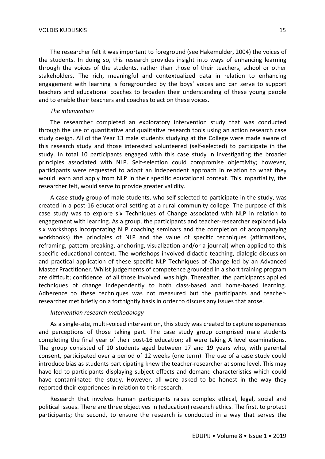The researcher felt it was important to foreground (see Hakemulder, 2004) the voices of the students. In doing so, this research provides insight into ways of enhancing learning through the voices of the students, rather than those of their teachers, school or other stakeholders. The rich, meaningful and contextualized data in relation to enhancing engagement with learning is foregrounded by the boys' voices and can serve to support teachers and educational coaches to broaden their understanding of these young people and to enable their teachers and coaches to act on these voices.

# *The intervention*

The researcher completed an exploratory intervention study that was conducted through the use of quantitative and qualitative research tools using an action research case study design. All of the Year 13 male students studying at the College were made aware of this research study and those interested volunteered (self-selected) to participate in the study. In total 10 participants engaged with this case study in investigating the broader principles associated with NLP. Self-selection could compromise objectivity; however, participants were requested to adopt an independent approach in relation to what they would learn and apply from NLP in their specific educational context. This impartiality, the researcher felt, would serve to provide greater validity.

A case study group of male students, who self-selected to participate in the study, was created in a post-16 educational setting at a rural community college. The purpose of this case study was to explore six Techniques of Change associated with NLP in relation to engagement with learning. As a group, the participants and teacher-researcher explored (via six workshops incorporating NLP coaching seminars and the completion of accompanying workbooks) the principles of NLP and the value of specific techniques (affirmations, reframing, pattern breaking, anchoring, visualization and/or a journal) when applied to this specific educational context. The workshops involved didactic teaching, dialogic discussion and practical application of these specific NLP Techniques of Change led by an Advanced Master Practitioner. Whilst judgements of competence grounded in a short training program are difficult; confidence, of all those involved, was high. Thereafter, the participants applied techniques of change independently to both class-based and home-based learning. Adherence to these techniques was not measured but the participants and teacherresearcher met briefly on a fortnightly basis in order to discuss any issues that arose.

# *Intervention research methodology*

As a single-site, multi-voiced intervention, this study was created to capture experiences and perceptions of those taking part. The case study group comprised male students completing the final year of their post-16 education; all were taking A level examinations. The group consisted of 10 students aged between 17 and 19 years who, with parental consent, participated over a period of 12 weeks (one term). The use of a case study could introduce bias as students participating knew the teacher-researcher at some level. This may have led to participants displaying subject effects and demand characteristics which could have contaminated the study. However, all were asked to be honest in the way they reported their experiences in relation to this research.

Research that involves human participants raises complex ethical, legal, social and political issues. There are three objectives in (education) research ethics. The first, to protect participants; the second, to ensure the research is conducted in a way that serves the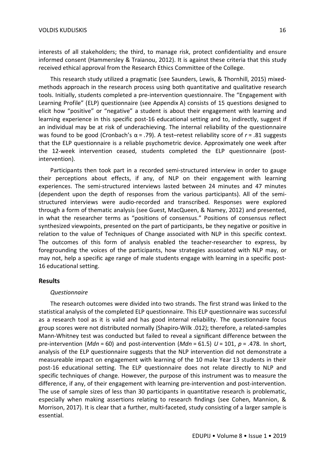interests of all stakeholders; the third, to manage risk, protect confidentiality and ensure informed consent (Hammersley & Traianou, 2012). It is against these criteria that this study received ethical approval from the Research Ethics Committee of the College.

This research study utilized a pragmatic (see Saunders, Lewis, & Thornhill, 2015) mixedmethods approach in the research process using both quantitative and qualitative research tools. Initially, students completed a pre-intervention questionnaire. The "Engagement with Learning Profile" (ELP) questionnaire (see Appendix A) consists of 15 questions designed to elicit how "positive" or "negative" a student is about their engagement with learning and learning experience in this specific post-16 educational setting and to, indirectly, suggest if an individual may be at risk of underachieving. The internal reliability of the questionnaire was found to be good (Cronbach's α = .79). A test–retest reliability score of *r* = .81 suggests that the ELP questionnaire is a reliable psychometric device. Approximately one week after the 12-week intervention ceased, students completed the ELP questionnaire (postintervention).

Participants then took part in a recorded semi-structured interview in order to gauge their perceptions about effects, if any, of NLP on their engagement with learning experiences. The semi-structured interviews lasted between 24 minutes and 47 minutes (dependent upon the depth of responses from the various participants). All of the semistructured interviews were audio-recorded and transcribed. Responses were explored through a form of thematic analysis (see Guest, MacQueen, & Namey, 2012) and presented, in what the researcher terms as "positions of consensus." Positions of consensus reflect synthesized viewpoints, presented on the part of participants, be they negative or positive in relation to the value of Techniques of Change associated with NLP in this specific context. The outcomes of this form of analysis enabled the teacher-researcher to express, by foregrounding the voices of the participants, how strategies associated with NLP may, or may not, help a specific age range of male students engage with learning in a specific post-16 educational setting.

# **Results**

#### *Questionnaire*

The research outcomes were divided into two strands. The first strand was linked to the statistical analysis of the completed ELP questionnaire. This ELP questionnaire was successful as a research tool as it is valid and has good internal reliability. The questionnaire focus group scores were not distributed normally (Shapiro-Wilk .012); therefore, a related-samples Mann-Whitney test was conducted but failed to reveal a significant difference between the pre-intervention (*Mdn* = 60) and post-intervention (*Mdn* = 61.5) *U* = 101, *p* = .478. In short, analysis of the ELP questionnaire suggests that the NLP intervention did not demonstrate a measureable impact on engagement with learning of the 10 male Year 13 students in their post-16 educational setting. The ELP questionnaire does not relate directly to NLP and specific techniques of change. However, the purpose of this instrument was to measure the difference, if any, of their engagement with learning pre-intervention and post-intervention. The use of sample sizes of less than 30 participants in quantitative research is problematic, especially when making assertions relating to research findings (see Cohen, Mannion, & Morrison, 2017). It is clear that a further, multi-faceted, study consisting of a larger sample is essential.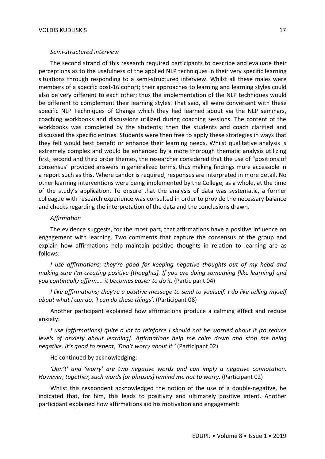#### *Semi-structured interview*

The second strand of this research required participants to describe and evaluate their perceptions as to the usefulness of the applied NLP techniques in their very specific learning situations through responding to a semi-structured interview. Whilst all these males were members of a specific post-16 cohort; their approaches to learning and learning styles could also be very different to each other; thus the implementation of the NLP techniques would be different to complement their learning styles. That said, all were conversant with these specific NLP Techniques of Change which they had learned about via the NLP seminars, coaching workbooks and discussions utilized during coaching sessions. The content of the workbooks was completed by the students; then the students and coach clarified and discussed the specific entries. Students were then free to apply these strategies in ways that they felt would best benefit or enhance their learning needs. Whilst qualitative analysis is extremely complex and would be enhanced by a more thorough thematic analysis utilizing first, second and third order themes, the researcher considered that the use of "positions of consensus" provided answers in generalized terms, thus making findings more accessible in a report such as this. Where candor is required, responses are interpreted in more detail. No other learning interventions were being implemented by the College, as a whole, at the time of the study's application. To ensure that the analysis of data was systematic, a former colleague with research experience was consulted in order to provide the necessary balance and checks regarding the interpretation of the data and the conclusions drawn.

## *Affirmation*

The evidence suggests, for the most part, that affirmations have a positive influence on engagement with learning. Two comments that capture the consensus of the group and explain how affirmations help maintain positive thoughts in relation to learning are as follows:

*I use affirmations; they're good for keeping negative thoughts out of my head and making sure I'm creating positive [thoughts]. If you are doing something [like learning] and you continually affirm…. it becomes easier to do it.* (Participant 04)

*I like affirmations; they're a positive message to send to yourself. I do like telling myself about what I can do. 'I can do these things'.* (Participant 08)

Another participant explained how affirmations produce a calming effect and reduce anxiety:

*I use [affirmations] quite a lot to reinforce I should not be worried about it [to reduce levels of anxiety about learning]. Affirmations help me calm down and stop me being negative. It's good to repeat, 'Don't worry about it.'* (Participant 02)

He continued by acknowledging:

*'Don't' and 'worry' are two negative words and can imply a negative connotation. However, together, such words [or phrases] remind me not to worry.* (Participant 02)

Whilst this respondent acknowledged the notion of the use of a double-negative, he indicated that, for him, this leads to positivity and ultimately positive intent. Another participant explained how affirmations aid his motivation and engagement: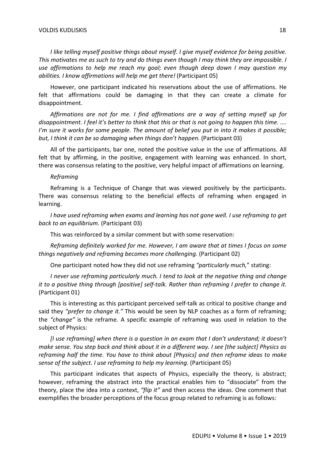*I like telling myself positive things about myself. I give myself evidence for being positive. This motivates me as such to try and do things even though I may think they are impossible. I use affirmations to help me reach my goal; even though deep down I may question my abilities. I know affirmations will help me get there!* (Participant 05)

However, one participant indicated his reservations about the use of affirmations. He felt that affirmations could be damaging in that they can create a climate for disappointment.

*Affirmations are not for me. I find affirmations are a way of setting myself up for disappointment. I feel it's better to think that this or that is not going to happen this time. …. I'm sure it works for some people. The amount of belief you put in into it makes it possible; but, I think it can be so damaging when things don't happen.* (Participant 03)

All of the participants, bar one, noted the positive value in the use of affirmations. All felt that by affirming, in the positive, engagement with learning was enhanced. In short, there was consensus relating to the positive, very helpful impact of affirmations on learning.

#### *Reframing*

Reframing is a Technique of Change that was viewed positively by the participants. There was consensus relating to the beneficial effects of reframing when engaged in learning.

*I have used reframing when exams and learning has not gone well. I use reframing to get back to an equilibrium.* (Participant 03)

This was reinforced by a similar comment but with some reservation:

*Reframing definitely worked for me. However, I am aware that at times I focus on some things negatively and reframing becomes more challenging.* (Participant 02)

One participant noted how they did not use reframing *"particularly much,*" stating:

*I never use reframing particularly much. I tend to look at the negative thing and change it to a positive thing through [positive] self-talk. Rather than reframing I prefer to change it*. (Participant 01)

This is interesting as this participant perceived self-talk as critical to positive change and said they *"prefer to change it."* This would be seen by NLP coaches as a form of reframing; the *"change"* is the reframe. A specific example of reframing was used in relation to the subject of Physics:

*[I use reframing] when there is a question in an exam that I don't understand; it doesn't make sense. You step back and think about it in a different way. I see [the subject] Physics as reframing half the time. You have to think about [Physics] and then reframe ideas to make sense of the subject. I use reframing to help my learning.* (Participant 05)

This participant indicates that aspects of Physics, especially the theory, is abstract; however, reframing the abstract into the practical enables him to "dissociate" from the theory, place the idea into a context, *"flip it"* and then access the ideas. One comment that exemplifies the broader perceptions of the focus group related to reframing is as follows: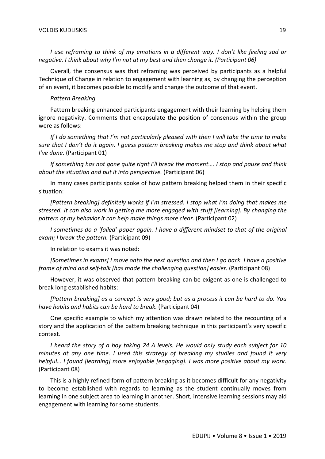*I use reframing to think of my emotions in a different way. I don't like feeling sad or negative. I think about why I'm not at my best and then change it. (Participant 06)*

Overall, the consensus was that reframing was perceived by participants as a helpful Technique of Change in relation to engagement with learning as, by changing the perception of an event, it becomes possible to modify and change the outcome of that event.

#### *Pattern Breaking*

Pattern breaking enhanced participants engagement with their learning by helping them ignore negativity. Comments that encapsulate the position of consensus within the group were as follows:

*If I do something that I'm not particularly pleased with then I will take the time to make sure that I don't do it again. I guess pattern breaking makes me stop and think about what I've done.* (Participant 01)

*If something has not gone quite right I'll break the moment…. I stop and pause and think about the situation and put it into perspective.* (Participant 06)

In many cases participants spoke of how pattern breaking helped them in their specific situation:

*[Pattern breaking] definitely works if I'm stressed. I stop what I'm doing that makes me stressed. It can also work in getting me more engaged with stuff [learning]. By changing the pattern of my behavior it can help make things more clear.* (Participant 02)

*I sometimes do a 'failed' paper again. I have a different mindset to that of the original exam; I break the pattern.* (Participant 09)

In relation to exams it was noted:

*[Sometimes in exams] I move onto the next question and then I go back. I have a positive frame of mind and self-talk [has made the challenging question] easier.* (Participant 08)

However, it was observed that pattern breaking can be exigent as one is challenged to break long established habits:

*[Pattern breaking] as a concept is very good; but as a process it can be hard to do. You have habits and habits can be hard to break.* (Participant 04)

One specific example to which my attention was drawn related to the recounting of a story and the application of the pattern breaking technique in this participant's very specific context.

*I heard the story of a boy taking 24 A levels. He would only study each subject for 10 minutes at any one time. I used this strategy of breaking my studies and found it very helpful… I found [learning] more enjoyable [engaging]. I was more positive about my work.*  (Participant 08)

This is a highly refined form of pattern breaking as it becomes difficult for any negativity to become established with regards to learning as the student continually moves from learning in one subject area to learning in another. Short, intensive learning sessions may aid engagement with learning for some students.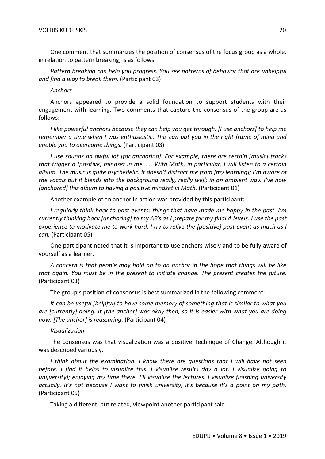One comment that summarizes the position of consensus of the focus group as a whole, in relation to pattern breaking, is as follows:

*Pattern breaking can help you progress. You see patterns of behavior that are unhelpful and find a way to break them.* (Participant 03)

#### *Anchors*

Anchors appeared to provide a solid foundation to support students with their engagement with learning. Two comments that capture the consensus of the group are as follows:

*I like powerful anchors because they can help you get through. [I use anchors] to help me remember a time when I was enthusiastic. This can put you in the right frame of mind and enable you to overcome things.* (Participant 03)

*I use sounds an awful lot [for anchoring]. For example, there are certain [music] tracks that trigger a [positive] mindset in me. …. With Math, in particular, I will listen to a certain album. The music is quite psychedelic. It doesn't distract me from [my learning]; I'm aware of the vocals but it blends into the background really, really well; in an ambient way. I've now*  [anchored] this album to having a positive mindset in Math. (Participant 01)

Another example of an anchor in action was provided by this participant:

*I regularly think back to past events; things that have made me happy in the past. I'm currently thinking back [anchoring] to my AS's as I prepare for my final A levels. I use the past experience to motivate me to work hard. I try to relive the [positive] past event as much as I can.* (Participant 05)

One participant noted that it is important to use anchors wisely and to be fully aware of yourself as a learner.

*A concern is that people may hold on to an anchor in the hope that things will be like that again. You must be in the present to initiate change. The present creates the future.*  (Participant 03)

The group's position of consensus is best summarized in the following comment:

*It can be useful [helpful] to have some memory of something that is similar to what you are [currently] doing. It [the anchor] was okay then, so it is easier with what you are doing now. [The anchor] is reassuring.* (Participant 04)

## *Visualization*

The consensus was that visualization was a positive Technique of Change. Although it was described variously.

*I think about the examination. I know there are questions that I will have not seen before. I find it helps to visualize this. I visualize results day a lot. I visualize going to uni[versity]; enjoying my time there. I'll visualize the lectures. I visualize finishing university actually. It's not because I want to finish university, it's because it's a point on my path.*  (Participant 05)

Taking a different, but related, viewpoint another participant said: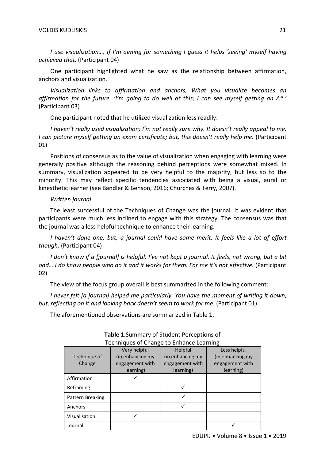*I* use visualization..., If I'm aiming for something I quess it helps 'seeing' myself having *achieved that.* (Participant 04)

One participant highlighted what he saw as the relationship between affirmation, anchors and visualization.

*Visualization links to affirmation and anchors, What you visualize becomes an affirmation for the future. 'I'm going to do well at this; I can see myself getting an A\*.'* (Participant 03)

One participant noted that he utilized visualization less readily:

*I haven't really used visualization; I'm not really sure why. It doesn't really appeal to me. I can picture myself getting an exam certificate; but, this doesn't really help me.* (Participant 01)

Positions of consensus as to the value of visualization when engaging with learning were generally positive although the reasoning behind perceptions were somewhat mixed. In summary, visualization appeared to be very helpful to the majority, but less so to the minority. This may reflect specific tendencies associated with being a visual, aural or kinesthetic learner (see Bandler & Benson, 2016; Churches & Terry, 2007).

# *Written journal*

The least successful of the Techniques of Change was the journal. It was evident that participants were much less inclined to engage with this strategy. The consensus was that the journal was a less helpful technique to enhance their learning.

*I haven't done one; but, a journal could have some merit. It feels like a lot of effort though.* (Participant 04)

*I don't know if a [journal] is helpful; I've not kept a journal. It feels, not wrong, but a bit*  odd... I do know people who do it and it works for them. For me it's not effective. (Participant 02)

The view of the focus group overall is best summarized in the following comment:

*I never felt [a journal] helped me particularly. You have the moment of writing it down; but, reflecting on it and looking back doesn't seem to work for me.* (Participant 01)

The aforementioned observations are summarized in Table 1**.**

|                  | $1$ commuted of change to Emilance Ecammic |                  |                  |
|------------------|--------------------------------------------|------------------|------------------|
|                  | Very helpful                               | Helpful          | Less helpful     |
| Technique of     | (in enhancing my                           | (in enhancing my | (in enhancing my |
| Change           | engagement with                            | engagement with  | engagement with  |
|                  | learning)                                  | learning)        | learning)        |
| Affirmation      |                                            |                  |                  |
| Reframing        |                                            |                  |                  |
| Pattern Breaking |                                            |                  |                  |
| Anchors          |                                            |                  |                  |
| Visualisation    |                                            |                  |                  |
| Journal          |                                            |                  |                  |

#### **Table 1.**Summary of Student Perceptions of Techniques of Change to Enhance Learning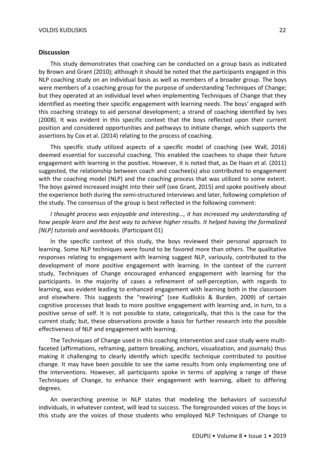## **Discussion**

This study demonstrates that coaching can be conducted on a group basis as indicated by Brown and Grant (2010); although it should be noted that the participants engaged in this NLP coaching study on an individual basis as well as members of a broader group. The boys were members of a coaching group for the purpose of understanding Techniques of Change; but they operated at an individual level when implementing Techniques of Change that they identified as meeting their specific engagement with learning needs. The boys' engaged with this coaching strategy to aid personal development; a strand of coaching identified by Ives (2008). It was evident in this specific context that the boys reflected upon their current position and considered opportunities and pathways to initiate change, which supports the assertions by Cox et al. (2014) relating to the process of coaching.

This specific study utilized aspects of a specific model of coaching (see Wall, 2016) deemed essential for successful coaching. This enabled the coachees to shape their future engagement with learning in the positive. However, it is noted that, as De Haan et al. (2011) suggested, the relationship between coach and coachee(s) also contributed to engagement with the coaching model (NLP) and the coaching process that was utilized to some extent. The boys gained increased insight into their self (see Grant, 2015) and spoke positively about the experience both during the semi-structured interviews and later, following completion of the study. The consensus of the group is best reflected in the following comment:

# *I thought process was enjoyable and interesting…, it has increased my understanding of how people learn and the best way to achieve higher results. It helped having the formalized [NLP] tutorials and workbooks.* (Participant 01)

In the specific context of this study, the boys reviewed their personal approach to learning. Some NLP techniques were found to be favored more than others. The qualitative responses relating to engagement with learning suggest NLP, variously, contributed to the development of more positive engagement with learning. In the context of the current study, Techniques of Change encouraged enhanced engagement with learning for the participants. In the majority of cases a refinement of self-perception, with regards to learning, was evident leading to enhanced engagement with learning both in the classroom and elsewhere. This suggests the "rewiring" (see Kudliskis & Burden, 2009) of certain cognitive processes that leads to more positive engagement with learning and, in turn, to a positive sense of self. It is not possible to state, categorically, that this is the case for the current study; but, these observations provide a basis for further research into the possible effectiveness of NLP and engagement with learning.

The Techniques of Change used in this coaching intervention and case study were multifaceted (affirmations, reframing, pattern breaking, anchors, visualization, and journals) thus making it challenging to clearly identify which specific technique contributed to positive change. It may have been possible to see the same results from only implementing one of the interventions. However, all participants spoke in terms of applying a range of these Techniques of Change, to enhance their engagement with learning, albeit to differing degrees.

An overarching premise in NLP states that modeling the behaviors of successful individuals, in whatever context, will lead to success. The foregrounded voices of the boys in this study are the voices of those students who employed NLP Techniques of Change to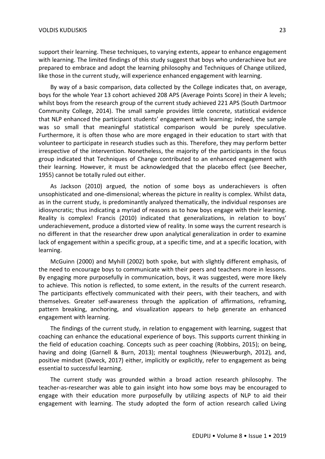support their learning. These techniques, to varying extents, appear to enhance engagement with learning. The limited findings of this study suggest that boys who underachieve but are prepared to embrace and adopt the learning philosophy and Techniques of Change utilized, like those in the current study, will experience enhanced engagement with learning.

By way of a basic comparison, data collected by the College indicates that, on average, boys for the whole Year 13 cohort achieved 208 APS (Average Points Score) in their A levels; whilst boys from the research group of the current study achieved 221 APS (South Dartmoor Community College, 2014). The small sample provides little concrete, statistical evidence that NLP enhanced the participant students' engagement with learning; indeed, the sample was so small that meaningful statistical comparison would be purely speculative. Furthermore, it is often those who are more engaged in their education to start with that volunteer to participate in research studies such as this. Therefore, they may perform better irrespective of the intervention. Nonetheless, the majority of the participants in the focus group indicated that Techniques of Change contributed to an enhanced engagement with their learning. However, it must be acknowledged that the placebo effect (see Beecher, 1955) cannot be totally ruled out either.

As Jackson (2010) argued, the notion of some boys as underachievers is often unsophisticated and one-dimensional; whereas the picture in reality is complex. Whilst data, as in the current study, is predominantly analyzed thematically, the individual responses are idiosyncratic; thus indicating a myriad of reasons as to how boys engage with their learning. Reality is complex! Francis (2010) indicated that generalizations, in relation to boys' underachievement, produce a distorted view of reality. In some ways the current research is no different in that the researcher drew upon analytical generalization in order to examine lack of engagement within a specific group, at a specific time, and at a specific location, with learning.

McGuinn (2000) and Myhill (2002) both spoke, but with slightly different emphasis, of the need to encourage boys to communicate with their peers and teachers more in lessons. By engaging more purposefully in communication, boys, it was suggested, were more likely to achieve. This notion is reflected, to some extent, in the results of the current research. The participants effectively communicated with their peers, with their teachers, and with themselves. Greater self-awareness through the application of affirmations, reframing, pattern breaking, anchoring, and visualization appears to help generate an enhanced engagement with learning.

The findings of the current study, in relation to engagement with learning, suggest that coaching can enhance the educational experience of boys. This supports current thinking in the field of education coaching. Concepts such as peer coaching (Robbins, 2015); on being, having and doing (Garnell & Burn, 2013); mental toughness (Nieuwerburgh, 2012), and, positive mindset (Dweck, 2017) either, implicitly or explicitly, refer to engagement as being essential to successful learning.

The current study was grounded within a broad action research philosophy. The teacher-as-researcher was able to gain insight into how some boys may be encouraged to engage with their education more purposefully by utilizing aspects of NLP to aid their engagement with learning. The study adopted the form of action research called Living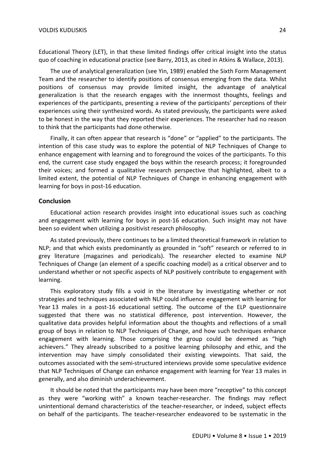The use of analytical generalization (see Yin, 1989) enabled the Sixth Form Management Team and the researcher to identify positions of consensus emerging from the data. Whilst positions of consensus may provide limited insight, the advantage of analytical generalization is that the research engages with the innermost thoughts, feelings and experiences of the participants, presenting a review of the participants' perceptions of their experiences using their synthesized words. As stated previously, the participants were asked to be honest in the way that they reported their experiences. The researcher had no reason to think that the participants had done otherwise.

Finally, it can often appear that research is "done" or "applied" to the participants. The intention of this case study was to explore the potential of NLP Techniques of Change to enhance engagement with learning and to foreground the voices of the participants. To this end, the current case study engaged the boys within the research process; it foregrounded their voices; and formed a qualitative research perspective that highlighted, albeit to a limited extent, the potential of NLP Techniques of Change in enhancing engagement with learning for boys in post-16 education.

# **Conclusion**

Educational action research provides insight into educational issues such as coaching and engagement with learning for boys in post-16 education. Such insight may not have been so evident when utilizing a positivist research philosophy.

As stated previously, there continues to be a limited theoretical framework in relation to NLP; and that which exists predominantly as grounded in "soft" research or referred to in grey literature (magazines and periodicals). The researcher elected to examine NLP Techniques of Change (an element of a specific coaching model) as a critical observer and to understand whether or not specific aspects of NLP positively contribute to engagement with learning.

This exploratory study fills a void in the literature by investigating whether or not strategies and techniques associated with NLP could influence engagement with learning for Year 13 males in a post-16 educational setting. The outcome of the ELP questionnaire suggested that there was no statistical difference, post intervention. However, the qualitative data provides helpful information about the thoughts and reflections of a small group of boys in relation to NLP Techniques of Change, and how such techniques enhance engagement with learning. Those comprising the group could be deemed as "high achievers." They already subscribed to a positive learning philosophy and ethic, and the intervention may have simply consolidated their existing viewpoints. That said, the outcomes associated with the semi-structured interviews provide some speculative evidence that NLP Techniques of Change can enhance engagement with learning for Year 13 males in generally, and also diminish underachievement.

It should be noted that the participants may have been more "receptive" to this concept as they were "working with" a known teacher-researcher. The findings may reflect unintentional demand characteristics of the teacher-researcher, or indeed, subject effects on behalf of the participants. The teacher-researcher endeavored to be systematic in the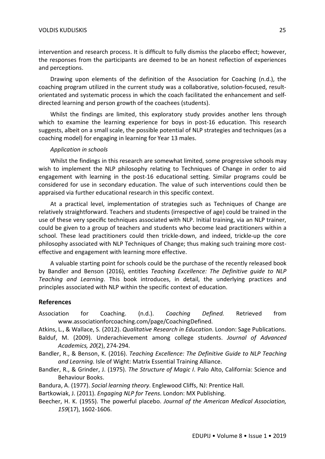intervention and research process. It is difficult to fully dismiss the placebo effect; however, the responses from the participants are deemed to be an honest reflection of experiences and perceptions.

Drawing upon elements of the definition of the Association for Coaching (n.d.), the coaching program utilized in the current study was a collaborative, solution-focused, resultorientated and systematic process in which the coach facilitated the enhancement and selfdirected learning and person growth of the coachees (students).

Whilst the findings are limited, this exploratory study provides another lens through which to examine the learning experience for boys in post-16 education. This research suggests, albeit on a small scale, the possible potential of NLP strategies and techniques (as a coaching model) for engaging in learning for Year 13 males.

#### *Application in schools*

Whilst the findings in this research are somewhat limited, some progressive schools may wish to implement the NLP philosophy relating to Techniques of Change in order to aid engagement with learning in the post-16 educational setting. Similar programs could be considered for use in secondary education. The value of such interventions could then be appraised via further educational research in this specific context.

At a practical level, implementation of strategies such as Techniques of Change are relatively straightforward. Teachers and students (irrespective of age) could be trained in the use of these very specific techniques associated with NLP. Initial training, via an NLP trainer, could be given to a group of teachers and students who become lead practitioners within a school. These lead practitioners could then trickle-down, and indeed, trickle-up the core philosophy associated with NLP Techniques of Change; thus making such training more costeffective and engagement with learning more effective.

A valuable starting point for schools could be the purchase of the recently released book by Bandler and Benson (2016), entitles *Teaching Excellence: The Definitive guide to NLP Teaching and Learning*. This book introduces, in detail, the underlying practices and principles associated with NLP within the specific context of education.

# **References**

Association for Coaching. (n.d.). *Coaching Defined.* Retrieved from www.associationforcoaching.com/page/CoachingDefined.

Atkins, L., & Wallace, S. (2012). *Qualitative Research in Education*. London: Sage Publications.

- Balduf, M. (2009). Underachievement among college students. *Journal of Advanced Academics, 20*(2), 274-294.
- Bandler, R., & Benson, K. (2016). *Teaching Excellence: The Definitive Guide to NLP Teaching and Learning*. Isle of Wight: Matrix Essential Training Alliance.
- Bandler, R., & Grinder, J. (1975). *The Structure of Magic I*. Palo Alto, California: Science and Behaviour Books.
- Bandura, A. (1977). *Social learning theory*. Englewood Cliffs, NJ: Prentice Hall.
- Bartkowiak, J. (2011). *Engaging NLP for Teens*. London: MX Publishing.
- Beecher, H. K. (1955). The powerful placebo. *Journal of the American Medical Association, 159*(17), 1602-1606.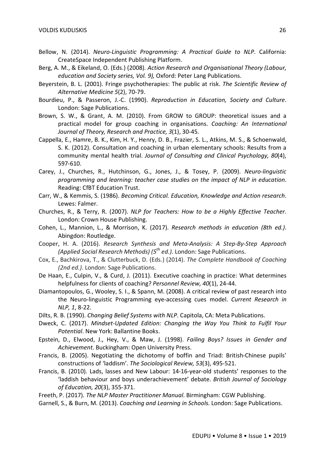- Bellow, N. (2014). *Neuro-Linguistic Programming: A Practical Guide to NLP*. California: CreateSpace Independent Publishing Platform.
- Berg, A. M., & Eikeland, O. (Eds.) (2008). *Action Research and Organisational Theory (Labour, education and Society series, Vol. 9),* Oxford: Peter Lang Publications.
- Beyerstein, B. L. (2001). Fringe psychotherapies: The public at risk. *The Scientific Review of Alternative Medicine 5*(2), 70-79.
- Bourdieu, P., & Passeron, J.-C. (1990). *Reproduction in Education, Society and Culture*. London: Sage Publications.
- Brown, S. W., & Grant, A. M. (2010). From GROW to GROUP: theoretical issues and a practical model for group coaching in organisations. *Coaching: An International Journal of Theory, Research and Practice, 3*(1), 30-45.
- Cappella, E., Hamre, B. K., Kim, H. Y., Henry, D. B., Frazier, S. L., Atkins, M. S., & Schoenwald, S. K. (2012). Consultation and coaching in urban elementary schools: Results from a community mental health trial. *Journal of Consulting and Clinical Psychology, 80*(4), 597-610.
- Carey, J., Churches, R., Hutchinson, G., Jones, J., & Tosey, P. (2009). *Neuro-linguistic programming and learning: teacher case studies on the impact of NLP in education*. Reading: CfBT Education Trust.
- Carr, W., & Kemmis, S. (1986). *Becoming Critical. Education, Knowledge and Action research*. Lewes: Falmer.
- Churches, R., & Terry, R. (2007). *NLP for Teachers: How to be a Highly Effective Teacher*. London: Crown House Publishing.
- Cohen, L., Mannion, L., & Morrison, K. (2017). *Research methods in education (8th ed.)*. Abingdon: Routledge.
- Cooper, H. A. (2016). *Research Synthesis and Meta-Analysis: A Step-By-Step Approach (Applied Social Research Methods) (5th ed.)*. London: Sage Publications.
- Cox, E., Bachkirova, T., & Clutterbuck, D. (Eds.) (2014). *The Complete Handbook of Coaching (2nd ed.)*. London: Sage Publications.
- De Haan, E., Culpin, V., & Curd, J. (2011). Executive coaching in practice: What determines helpfulness for clients of coaching? *Personnel Review, 40*(1), 24-44.
- Diamantopoulos, G., Wooley, S. I., & Spann, M. (2008). A critical review of past research into the Neuro-linguistic Programming eye-accessing cues model. *Current Research in NLP, 1*, 8-22.
- Dilts, R. B. (1990). *Changing Belief Systems with NLP*. Capitola, CA: Meta Publications.
- Dweck, C. (2017). *Mindset-Updated Edition: Changing the Way You Think to Fulfil Your Potential*. New York: Ballantine Books.
- Epstein, D., Elwood, J., Hey, V., & Maw, J. (1998). *Failing Boys? Issues in Gender and Achievement*. Buckingham: Open University Press.
- Francis, B. (2005). Negotiating the dichotomy of boffin and Triad: British-Chinese pupils' constructions of 'laddism'. *The Sociological Review, 53*(3), 495-521.
- Francis, B. (2010). Lads, lasses and New Labour: 14-16-year-old students' responses to the 'laddish behaviour and boys underachievement' debate. *British Journal of Sociology of Education, 20*(3), 355-371.
- Freeth, P. (2017). *The NLP Master Practitioner Manual*. Birmingham: CGW Publishing.
- Garnell, S., & Burn, M. (2013). *Coaching and Learning in Schools*. London: Sage Publications.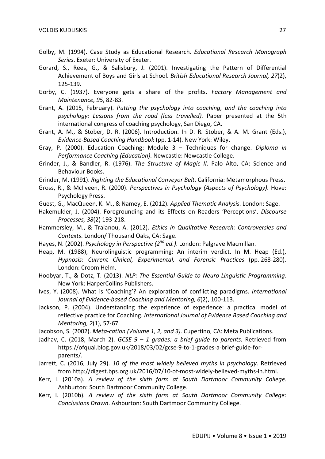- Golby, M. (1994). Case Study as Educational Research. *Educational Research Monograph Series*. Exeter: University of Exeter.
- Gorard, S., Rees, G., & Salisbury, J. (2001). Investigating the Pattern of Differential Achievement of Boys and Girls at School. *British Educational Research Journal, 27*(2), 125-139.
- Gorby, C. (1937). Everyone gets a share of the profits. *Factory Management and Maintenance, 95*, 82-83.
- Grant, A. (2015, February). *Putting the psychology into coaching, and the coaching into psychology: Lessons from the road (less travelled).* Paper presented at the 5th international congress of coaching psychology, San Diego, CA.
- Grant, A. M., & Stober, D. R. (2006). Introduction. In D. R. Stober, & A. M. Grant (Eds.), *Evidence-Based Coaching Handbook* (pp. 1-14). New York: Wiley.
- Gray, P. (2000). Education Coaching: Module 3 Techniques for change. *Diploma in Performance Coaching (Education)*. Newcastle: Newcastle College.
- Grinder, J., & Bandler, R. (1976). *The Structure of Magic II*. Palo Alto, CA: Science and Behaviour Books.
- Grinder, M. (1991). *Righting the Educational Conveyor Belt*. California: Metamorphous Press.
- Gross, R., & McIlveen, R. (2000). *Perspectives in Psychology (Aspects of Psychology)*. Hove: Psychology Press.
- Guest, G., MacQueen, K. M., & Namey, E. (2012). *Applied Thematic Analysis*. London: Sage.
- Hakemulder, J. (2004). Foregrounding and its Effects on Readers 'Perceptions'. *Discourse Processes, 38*(2) 193-218.
- Hammersley, M., & Traianou, A. (2012). *Ethics in Qualitative Research: Controversies and Contexts*. London/ Thousand Oaks, CA: Sage.
- Hayes, N. (2002). *Psychology in Perspective (2nd ed.)*. London: Palgrave Macmillan.
- Heap, M. (1988), Neurolinguistic programming: An interim verdict. In M. Heap (Ed.), *Hypnosis: Current Clinical, Experimental, and Forensic Practices* (pp. 268-280). London: Croom Helm.
- Hoobyar, T., & Dotz, T. (2013). *NLP: The Essential Guide to Neuro-Linguistic Programming*. New York: HarperCollins Publishers.
- Ives, Y. (2008). What is 'Coaching'? An exploration of conflicting paradigms. *International Journal of Evidence-based Coaching and Mentoring, 6*(2), 100-113.
- Jackson, P. (2004). Understanding the experience of experience: a practical model of reflective practice for Coaching. *International Journal of Evidence Based Coaching and Mentoring, 2*(1), 57-67.
- Jacobson, S. (2002). *Meta-cation (Volume 1, 2, and 3)*. Cupertino, CA: Meta Publications.
- Jadhav, C. (2018, March 2). *GCSE 9 – 1 grades: a brief guide to parents*. Retrieved from https://ofqual.blog.gov.uk/2018/03/02/gcse-9-to-1-grades-a-brief-guide-forparents/.
- Jarrett, C. (2016, July 29). *10 of the most widely believed myths in psychology*. Retrieved from http://digest.bps.org.uk/2016/07/10-of-most-widely-believed-myths-in.html.
- Kerr, I. (2010a). *A review of the sixth form at South Dartmoor Community College*. Ashburton: South Dartmoor Community College.
- Kerr, I. (2010b). *A review of the sixth form at South Dartmoor Community College: Conclusions Drawn*. Ashburton: South Dartmoor Community College.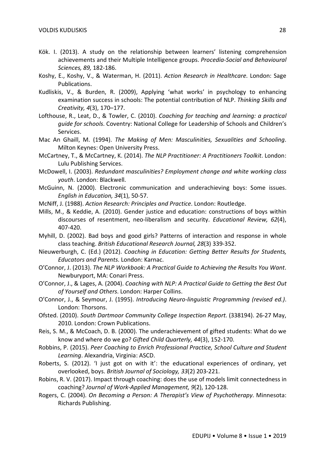- Kök. I. (2013). A study on the relationship between learners' listening comprehension achievements and their Multiple Intelligence groups. *Procedia-Social and Behavioural Sciences, 89,* 182-186.
- Koshy, E., Koshy, V., & Waterman, H. (2011). *Action Research in Healthcare*. London: Sage Publications.
- Kudliskis, V., & Burden, R. (2009), Applying 'what works' in psychology to enhancing examination success in schools: The potential contribution of NLP. *Thinking Skills and Creativity, 4*(3), 170–177.
- Lofthouse, R., Leat, D., & Towler, C. (2010). *Coaching for teaching and learning: a practical guide for schools*. Coventry: National College for Leadership of Schools and Children's Services.
- Mac An Ghaill, M. (1994). *The Making of Men: Masculinities, Sexualities and Schooling*. Milton Keynes: Open University Press.
- McCartney, T., & McCartney, K. (2014). *The NLP Practitioner: A Practitioners Toolkit*. London: Lulu Publishing Services.
- McDowell, I. (2003). *Redundant masculinities? Employment change and white working class youth*. London: Blackwell.
- McGuinn, N. (2000). Electronic communication and underachieving boys: Some issues. *English in Education, 34*(1), 50-57.
- McNiff, J. (1988). *Action Research: Principles and Practice*. London: Routledge.
- Mills, M., & Keddie, A. (2010). Gender justice and education: constructions of boys within discourses of resentment, neo-liberalism and security. *Educational Review, 62*(4), 407-420.
- Myhill, D. (2002). Bad boys and good girls? Patterns of interaction and response in whole class teaching. *British Educational Research Journal, 28*(3) 339-352.
- Nieuwerburgh, C. (Ed.) (2012). *Coaching in Education: Getting Better Results for Students, Educators and Parents*. London: Karnac.
- O'Connor, J. (2013). *The NLP Workbook: A Practical Guide to Achieving the Results You Want*. Newburyport, MA: Conari Press.
- O'Connor, J., & Lages, A. (2004). *Coaching with NLP: A Practical Guide to Getting the Best Out of Yourself and Others*. London: Harper Collins.
- O'Connor, J., & Seymour, J. (1995). *Introducing Neuro-linguistic Programming (revised ed.)*. London: Thorsons.
- Ofsted. (2010). *South Dartmoor Community College Inspection Report*. (338194). 26-27 May, 2010. London: Crown Publications.
- Reis, S. M., & McCoach, D. B. (2000). The underachievement of gifted students: What do we know and where do we go? *Gifted Child Quarterly, 44*(3), 152-170.
- Robbins, P. (2015). *Peer Coaching to Enrich Professional Practice, School Culture and Student Learning*. Alexandria, Virginia: ASCD.
- Roberts, S. (2012). 'I just got on with it': the educational experiences of ordinary, yet overlooked, boys. *British Journal of Sociology, 33*(2) 203-221.
- Robins, R. V. (2017). Impact through coaching: does the use of models limit connectedness in coaching? *Journal of Work-Applied Management, 9*(2), 120-128.
- Rogers, C. (2004). *On Becoming a Person: A Therapist's View of Psychotherapy*. Minnesota: Richards Publishing.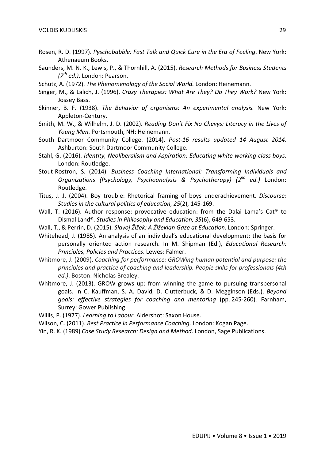- Rosen, R. D. (1997). *Pyschobabble: Fast Talk and Quick Cure in the Era of Feeling*. New York: Athenaeum Books.
- Saunders, M. N. K., Lewis, P., & Thornhill, A. (2015). *Research Methods for Business Students (7th ed.)*. London: Pearson.
- Schutz, A. (1972). *The Phenomenology of the Social World.* London: Heinemann.
- Singer, M., & Lalich, J. (1996). *Crazy Therapies: What Are They? Do They Work?* New York: Jossey Bass.
- Skinner, B. F. (1938). *The Behavior of organisms: An experimental analysis.* New York: Appleton-Century.
- Smith, M. W., & Wilhelm, J. D. (2002). *Reading Don't Fix No Chevys: Literacy in the Lives of Young Men*. Portsmouth, NH: Heinemann.
- South Dartmoor Community College. (2014). *Post-16 results updated 14 August 2014.* Ashburton: South Dartmoor Community College.
- Stahl, G. (2016). *Identity, Neoliberalism and Aspiration: Educating white working-class boys*. London: Routledge.
- Stout-Rostron, S. (2014). *Business Coaching International: Transforming Individuals and Organizations (Psychology, Psychoanalysis & Psychotherapy) (2nd ed.)* London: Routledge.
- Titus, J. J. (2004). Boy trouble: Rhetorical framing of boys underachievement. *Discourse: Studies in the cultural politics of education, 25*(2), 145-169.
- Wall, T. (2016). Author response: provocative education: from the Dalai Lama's Cat<sup>®</sup> to Dismal Land®. *Studies in Philosophy and Education, 35*(6), 649-653.
- Wall, T., & Perrin, D. (2015). *Slavoj Žižek: A Žižekian Gaze at Education*. London: Springer.
- Whitehead, J. (1985). An analysis of an individual's educational development: the basis for personally oriented action research. In M. Shipman (Ed.), *Educational Research: Principles, Policies and Practices*. Lewes: Falmer.
- Whitmore, J. (2009). *Coaching for performance: GROWing human potential and purpose: the principles and practice of coaching and leadership. People skills for professionals (4th ed.)*. Boston: Nicholas Brealey.
- Whitmore, J. (2013). GROW grows up: from winning the game to pursuing transpersonal goals. In C. Kauffman, S. A. David, D. Clutterbuck, & D. Megginson (Eds.), *Beyond goals: effective strategies for coaching and mentoring* (pp. 245-260). Farnham, Surrey: Gower Publishing.
- Willis, P. (1977). *Learning to Labour*. Aldershot: Saxon House.
- Wilson, C. (2011). *Best Practice in Performance Coaching*. London: Kogan Page.
- Yin, R. K. (1989) *Case Study Research: Design and Method*. London, Sage Publications.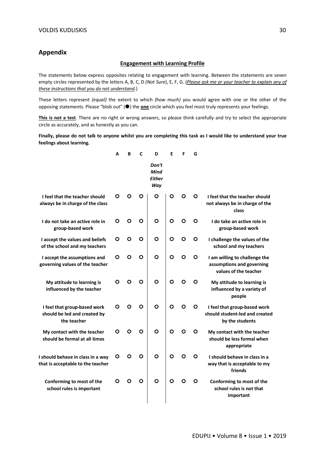# **Appendix**

#### **Engagement with Learning Profile**

The statements below express opposites relating to engagement with learning. Between the statements are seven empty circles represented by the letters A, B, C, D *(Not Sure*), E, F, G. (*Please ask me or your teacher to explain any of these instructions that you do not understand*.)

These letters represent *(equal)* the extent to which *(how much)* you would agree with one or the other of the opposing statements. Please "blob out" (<sup>•</sup>) the **one** circle which you feel most truly represents your feelings.

**This is not a test**. There are no right or wrong answers, so please think carefully and try to select the appropriate circle as accurately, and as honestly as you can.

**Finally, please do not talk to anyone whilst you are completing this task as I would like to understand your true feelings about learning.**

|                                                                             | A | в | C        | D                                     | E        | F | G |                                                                                     |
|-----------------------------------------------------------------------------|---|---|----------|---------------------------------------|----------|---|---|-------------------------------------------------------------------------------------|
|                                                                             |   |   |          | Don't<br>Mind<br><b>Either</b><br>Way |          |   |   |                                                                                     |
| I feel that the teacher should<br>always be in charge of the class          | O | O | O        | O                                     | O        | O | O | I feel that the teacher should<br>not always be in charge of the<br>class           |
| I do not take an active role in<br>group-based work                         |   | O | $\circ$  | $\circ$                               | $\circ$  |   | O | I do take an active role in<br>group-based work                                     |
| I accept the values and beliefs<br>of the school and my teachers            | O | O | O        | $\circ$                               | O        | O | O | I challenge the values of the<br>school and my teachers                             |
| I accept the assumptions and<br>governing values of the teacher             | O | O | O        | $\circ$                               | O        | O | O | I am willing to challenge the<br>assumptions and governing<br>values of the teacher |
| My attitude to learning is<br>influenced by the teacher                     | O | O | O        | $\circ$                               | $\circ$  | O |   | My attitude to learning is<br>influenced by a variety of<br>people                  |
| I feel that group-based work<br>should be led and created by<br>the teacher | O | Ο | $\Omega$ | O                                     | $\Omega$ | O | Ο | I feel that group-based work<br>should student-led and created<br>by the students   |
| My contact with the teacher<br>should be formal at all times                | O | O | $\circ$  | O                                     | O        | O | O | My contact with the teacher<br>should be less formal when<br>appropriate            |
| I should behave in class in a way<br>that is acceptable to the teacher      | O | O | O        | $\circ$                               | $\circ$  | O | O | I should behave in class in a<br>way that is acceptable to my<br>friends            |
| Conforming to most of the<br>school rules is important                      | O | O | O        | O                                     | O        | О | O | Conforming to most of the<br>school rules is not that<br>important                  |
|                                                                             |   |   |          |                                       |          |   |   |                                                                                     |